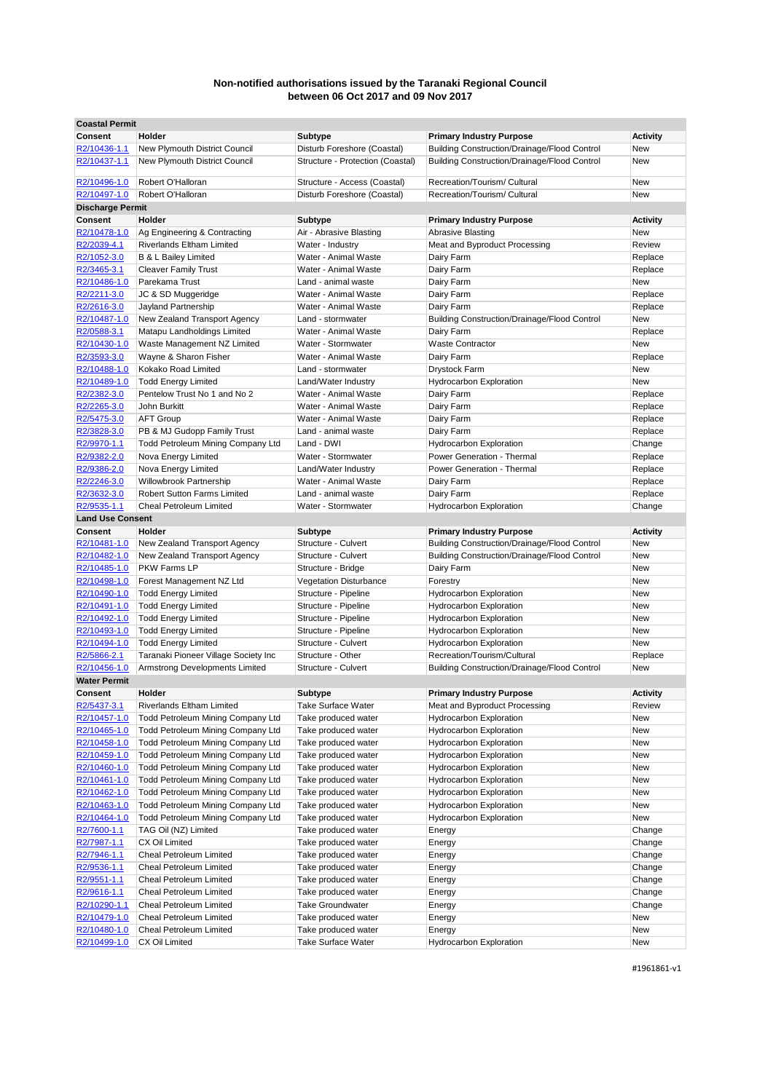| <b>Coastal Permit</b>   |                                          |                                  |                                                     |                 |
|-------------------------|------------------------------------------|----------------------------------|-----------------------------------------------------|-----------------|
| <b>Consent</b>          | Holder                                   | <b>Subtype</b>                   | <b>Primary Industry Purpose</b>                     | <b>Activity</b> |
| R2/10436-1.1            | New Plymouth District Council            | Disturb Foreshore (Coastal)      | Building Construction/Drainage/Flood Control        | New             |
| R2/10437-1.1            | New Plymouth District Council            | Structure - Protection (Coastal) | Building Construction/Drainage/Flood Control        | <b>New</b>      |
|                         |                                          |                                  |                                                     |                 |
| R2/10496-1.0            | Robert O'Halloran                        | Structure - Access (Coastal)     | Recreation/Tourism/ Cultural                        | <b>New</b>      |
| R2/10497-1.0            | Robert O'Halloran                        | Disturb Foreshore (Coastal)      | Recreation/Tourism/ Cultural                        | New             |
| <b>Discharge Permit</b> |                                          |                                  |                                                     |                 |
| Consent                 | Holder                                   | Subtype                          | <b>Primary Industry Purpose</b>                     | <b>Activity</b> |
| R2/10478-1.0            | Ag Engineering & Contracting             | Air - Abrasive Blasting          | <b>Abrasive Blasting</b>                            | New             |
| R2/2039-4.1             | <b>Riverlands Eltham Limited</b>         | Water - Industry                 | Meat and Byproduct Processing                       | Review          |
| R2/1052-3.0             | B & L Bailey Limited                     | Water - Animal Waste             | Dairy Farm                                          | Replace         |
| R2/3465-3.1             | <b>Cleaver Family Trust</b>              | Water - Animal Waste             | Dairy Farm                                          | Replace         |
| R2/10486-1.0            | Parekama Trust                           | Land - animal waste              | Dairy Farm                                          | New             |
| R2/2211-3.0             | JC & SD Muggeridge                       | Water - Animal Waste             | Dairy Farm                                          | Replace         |
| R2/2616-3.0             | Jayland Partnership                      | Water - Animal Waste             | Dairy Farm                                          | Replace         |
| R2/10487-1.0            | New Zealand Transport Agency             | Land - stormwater                | <b>Building Construction/Drainage/Flood Control</b> | New             |
| R2/0588-3.1             | Matapu Landholdings Limited              | Water - Animal Waste             | Dairy Farm                                          | Replace         |
| R2/10430-1.0            | Waste Management NZ Limited              | Water - Stormwater               | <b>Waste Contractor</b>                             | New             |
|                         |                                          |                                  |                                                     |                 |
| R2/3593-3.0             | Wayne & Sharon Fisher                    | Water - Animal Waste             | Dairy Farm                                          | Replace         |
| R2/10488-1.0            | Kokako Road Limited                      | Land - stormwater                | <b>Drystock Farm</b>                                | New             |
| R2/10489-1.0            | <b>Todd Energy Limited</b>               | Land/Water Industry              | <b>Hydrocarbon Exploration</b>                      | <b>New</b>      |
| R2/2382-3.0             | Pentelow Trust No 1 and No 2             | Water - Animal Waste             | Dairy Farm                                          | Replace         |
| R2/2265-3.0             | John Burkitt                             | Water - Animal Waste             | Dairy Farm                                          | Replace         |
| R2/5475-3.0             | <b>AFT Group</b>                         | Water - Animal Waste             | Dairy Farm                                          | Replace         |
| R2/3828-3.0             | PB & MJ Gudopp Family Trust              | Land - animal waste              | Dairy Farm                                          | Replace         |
| R2/9970-1.1             | Todd Petroleum Mining Company Ltd        | Land - DWI                       | <b>Hydrocarbon Exploration</b>                      | Change          |
| R2/9382-2.0             | Nova Energy Limited                      | Water - Stormwater               | Power Generation - Thermal                          | Replace         |
| R2/9386-2.0             | Nova Energy Limited                      | Land/Water Industry              | Power Generation - Thermal                          | Replace         |
| R2/2246-3.0             | <b>Willowbrook Partnership</b>           | Water - Animal Waste             | Dairy Farm                                          | Replace         |
| R2/3632-3.0             | <b>Robert Sutton Farms Limited</b>       | Land - animal waste              | Dairy Farm                                          | Replace         |
| R2/9535-1.1             | <b>Cheal Petroleum Limited</b>           | Water - Stormwater               | <b>Hydrocarbon Exploration</b>                      | Change          |
| <b>Land Use Consent</b> |                                          |                                  |                                                     |                 |
| <b>Consent</b>          | Holder                                   | Subtype                          | <b>Primary Industry Purpose</b>                     | <b>Activity</b> |
| R2/10481-1.0            | New Zealand Transport Agency             | Structure - Culvert              | Building Construction/Drainage/Flood Control        | New             |
| R2/10482-1.0            | New Zealand Transport Agency             | Structure - Culvert              | <b>Building Construction/Drainage/Flood Control</b> | New             |
|                         | <b>PKW Farms LP</b>                      |                                  |                                                     | <b>New</b>      |
| R2/10485-1.0            |                                          | Structure - Bridge               | Dairy Farm                                          |                 |
| R2/10498-1.0            | Forest Management NZ Ltd                 | <b>Vegetation Disturbance</b>    | Forestry                                            | New             |
| R2/10490-1.0            | <b>Todd Energy Limited</b>               | Structure - Pipeline             | <b>Hydrocarbon Exploration</b>                      | <b>New</b>      |
| R2/10491-1.0            | <b>Todd Energy Limited</b>               | Structure - Pipeline             | <b>Hydrocarbon Exploration</b>                      | New             |
| R2/10492-1.0            | <b>Todd Energy Limited</b>               | Structure - Pipeline             | <b>Hydrocarbon Exploration</b>                      | New             |
| R2/10493-1.0            | <b>Todd Energy Limited</b>               | Structure - Pipeline             | <b>Hydrocarbon Exploration</b>                      | <b>New</b>      |
| R2/10494-1.0            | <b>Todd Energy Limited</b>               | Structure - Culvert              | <b>Hydrocarbon Exploration</b>                      | New             |
| R2/5866-2.1             | Taranaki Pioneer Village Society Inc     | Structure - Other                | Recreation/Tourism/Cultural                         | Replace         |
| R2/10456-1.0            | Armstrong Developments Limited           | Structure - Culvert              | <b>Building Construction/Drainage/Flood Control</b> | New             |
| <b>Water Permit</b>     |                                          |                                  |                                                     |                 |
| Consent                 | Holder                                   | <b>Subtype</b>                   | <b>Primary Industry Purpose</b>                     | <b>Activity</b> |
| <u>R2/5437-3.1</u>      | Riverlands Eltham Limited                | Take Surface Water               | Meat and Byproduct Processing                       | Review          |
| R2/10457-1.0            | Todd Petroleum Mining Company Ltd        | Take produced water              | <b>Hydrocarbon Exploration</b>                      | New             |
| R2/10465-1.0            | Todd Petroleum Mining Company Ltd        | Take produced water              | <b>Hydrocarbon Exploration</b>                      | New             |
| R2/10458-1.0            | Todd Petroleum Mining Company Ltd        | Take produced water              | <b>Hydrocarbon Exploration</b>                      | New             |
| R2/10459-1.0            | <b>Todd Petroleum Mining Company Ltd</b> | Take produced water              | <b>Hydrocarbon Exploration</b>                      | New             |
| R2/10460-1.0            | Todd Petroleum Mining Company Ltd        | Take produced water              | <b>Hydrocarbon Exploration</b>                      | New             |
| R2/10461-1.0            | Todd Petroleum Mining Company Ltd        | Take produced water              | <b>Hydrocarbon Exploration</b>                      | New             |
| R2/10462-1.0            | <b>Todd Petroleum Mining Company Ltd</b> | Take produced water              | Hydrocarbon Exploration                             | New             |
| R2/10463-1.0            |                                          |                                  |                                                     | New             |
|                         | Todd Petroleum Mining Company Ltd        | Take produced water              | Hydrocarbon Exploration                             |                 |
| R2/10464-1.0            | Todd Petroleum Mining Company Ltd        | Take produced water              | Hydrocarbon Exploration                             | New             |
| R2/7600-1.1             | TAG Oil (NZ) Limited                     | Take produced water              | Energy                                              | Change          |
| R2/7987-1.1             | CX Oil Limited                           | Take produced water              | Energy                                              | Change          |
| R2/7946-1.1             | Cheal Petroleum Limited                  | Take produced water              | Energy                                              | Change          |
| R2/9536-1.1             | <b>Cheal Petroleum Limited</b>           | Take produced water              | Energy                                              | Change          |
| R2/9551-1.1             | Cheal Petroleum Limited                  | Take produced water              | Energy                                              | Change          |
| R2/9616-1.1             | Cheal Petroleum Limited                  | Take produced water              | Energy                                              | Change          |
| R2/10290-1.1            | Cheal Petroleum Limited                  | <b>Take Groundwater</b>          | Energy                                              | Change          |
| R2/10479-1.0            | Cheal Petroleum Limited                  | Take produced water              | Energy                                              | New             |
| R2/10480-1.0            | Cheal Petroleum Limited                  | Take produced water              | Energy                                              | New             |
| R2/10499-1.0            | CX Oil Limited                           | <b>Take Surface Water</b>        | Hydrocarbon Exploration                             | New             |
|                         |                                          |                                  |                                                     |                 |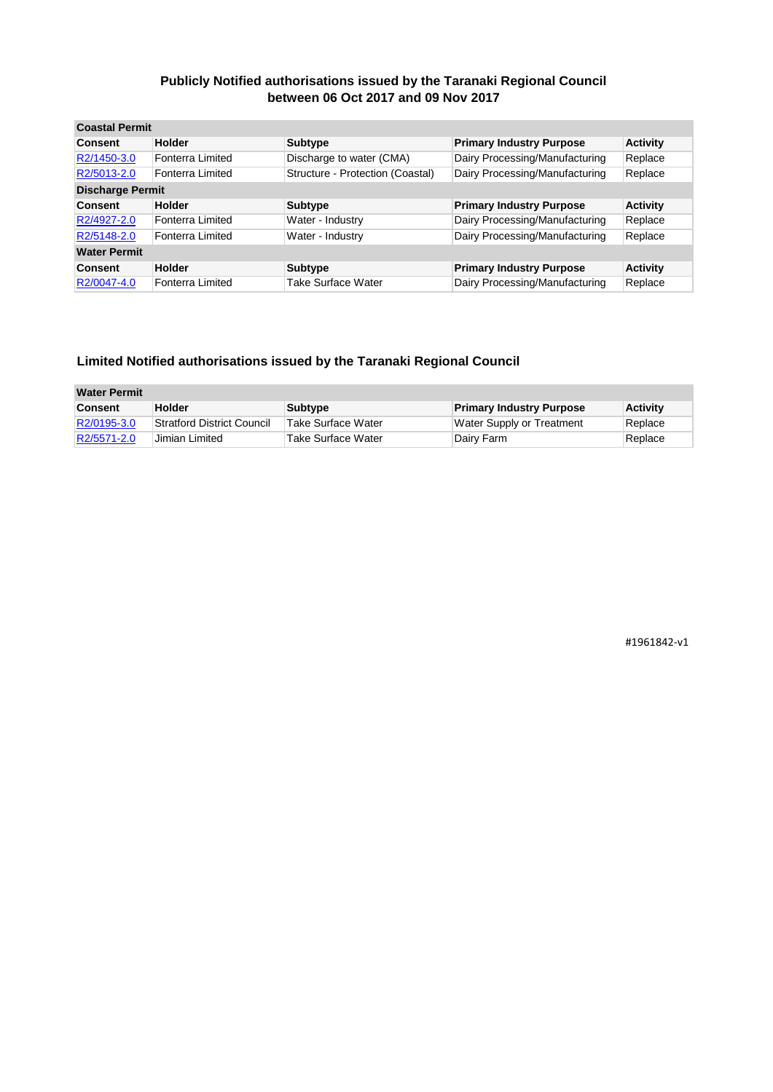| <b>Coastal Permit</b>   |                  |                                  |                                 |                 |
|-------------------------|------------------|----------------------------------|---------------------------------|-----------------|
| <b>Consent</b>          | <b>Holder</b>    | <b>Subtype</b>                   | <b>Primary Industry Purpose</b> | <b>Activity</b> |
| R2/1450-3.0             | Fonterra Limited | Discharge to water (CMA)         | Dairy Processing/Manufacturing  | Replace         |
| R2/5013-2.0             | Fonterra Limited | Structure - Protection (Coastal) | Dairy Processing/Manufacturing  | Replace         |
| <b>Discharge Permit</b> |                  |                                  |                                 |                 |
| <b>Consent</b>          | <b>Holder</b>    | Subtype                          | <b>Primary Industry Purpose</b> | <b>Activity</b> |
| R2/4927-2.0             | Fonterra Limited | Water - Industry                 | Dairy Processing/Manufacturing  | Replace         |
| R2/5148-2.0             | Fonterra Limited | Water - Industry                 | Dairy Processing/Manufacturing  | Replace         |
| <b>Water Permit</b>     |                  |                                  |                                 |                 |
| <b>Consent</b>          | <b>Holder</b>    | <b>Subtype</b>                   | <b>Primary Industry Purpose</b> | <b>Activity</b> |
| R2/0047-4.0             | Fonterra Limited | Take Surface Water               | Dairy Processing/Manufacturing  | Replace         |

#### **Limited Notified authorisations issued by the Taranaki Regional Council**

| <b>Water Permit</b> |                                   |                    |                                 |                 |
|---------------------|-----------------------------------|--------------------|---------------------------------|-----------------|
| <b>Consent</b>      | <b>Holder</b>                     | Subtype            | <b>Primary Industry Purpose</b> | <b>Activity</b> |
| R2/0195-3.0         | <b>Stratford District Council</b> | Take Surface Water | Water Supply or Treatment       | Replace         |
| R2/5571-2.0         | Jimian Limited                    | Take Surface Water | ∣Dairv Farm                     | Replace         |

#1961842-v1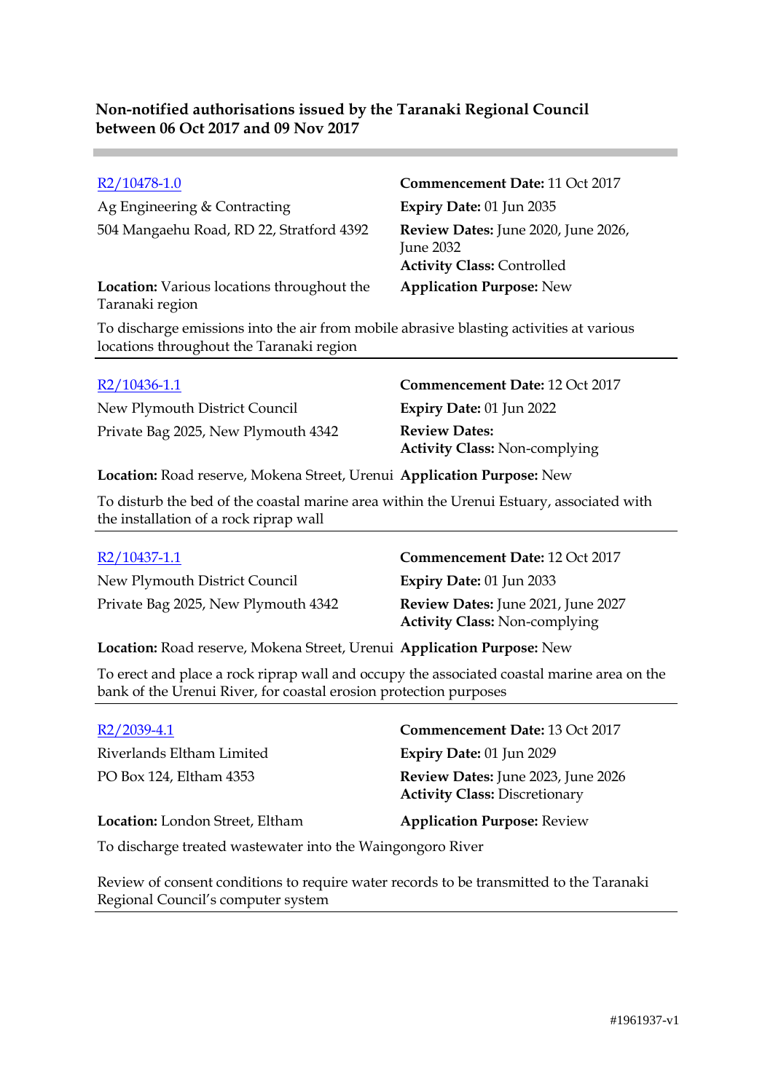Ag Engineering & Contracting **Expiry Date:** 01 Jun 2035 504 Mangaehu Road, RD 22, Stratford 4392 **Review Dates:** June 2020, June 2026,

**Location:** Various locations throughout the Taranaki region

# R2/10478-1.0 **Commencement Date:** 11 Oct 2017 June 2032 **Activity Class:** Controlled **Application Purpose:** New

To discharge emissions into the air from mobile abrasive blasting activities at various locations throughout the Taranaki region

New Plymouth District Council **Expiry Date:** 01 Jun 2022 Private Bag 2025, New Plymouth 4342 **Review Dates:**

R2/10436-1.1 **Commencement Date:** 12 Oct 2017 **Activity Class:** Non-complying

**Location:** Road reserve, Mokena Street, Urenui **Application Purpose:** New

To disturb the bed of the coastal marine area within the Urenui Estuary, associated with the installation of a rock riprap wall

| R2/10437-1.1                        | Commencement Date: 12 Oct 2017            |
|-------------------------------------|-------------------------------------------|
| New Plymouth District Council       | Expiry Date: $01$ Jun 2033                |
| Private Bag 2025, New Plymouth 4342 | <b>Review Dates:</b> June 2021, June 2027 |
|                                     | <b>Activity Class: Non-complying</b>      |

**Location:** Road reserve, Mokena Street, Urenui **Application Purpose:** New

To erect and place a rock riprap wall and occupy the associated coastal marine area on the bank of the Urenui River, for coastal erosion protection purposes

| $R2/2039-4.1$                                                                                                                                                                                                                                                                                    | Commencement Date: 13 Oct 2017                                                    |
|--------------------------------------------------------------------------------------------------------------------------------------------------------------------------------------------------------------------------------------------------------------------------------------------------|-----------------------------------------------------------------------------------|
| Riverlands Eltham Limited                                                                                                                                                                                                                                                                        | <b>Expiry Date: 01 Jun 2029</b>                                                   |
| PO Box 124, Eltham 4353                                                                                                                                                                                                                                                                          | <b>Review Dates:</b> June 2023, June 2026<br><b>Activity Class: Discretionary</b> |
| Location: London Street, Eltham                                                                                                                                                                                                                                                                  | <b>Application Purpose: Review</b>                                                |
| $\mathbf{r}$ and $\mathbf{r}$ and $\mathbf{r}$ and $\mathbf{r}$ and $\mathbf{r}$ and $\mathbf{r}$ and $\mathbf{r}$ and $\mathbf{r}$ and $\mathbf{r}$ and $\mathbf{r}$ and $\mathbf{r}$ and $\mathbf{r}$ and $\mathbf{r}$ and $\mathbf{r}$ and $\mathbf{r}$ and $\mathbf{r}$ and $\mathbf{r}$ and |                                                                                   |

To discharge treated wastewater into the Waingongoro River

Review of consent conditions to require water records to be transmitted to the Taranaki Regional Council's computer system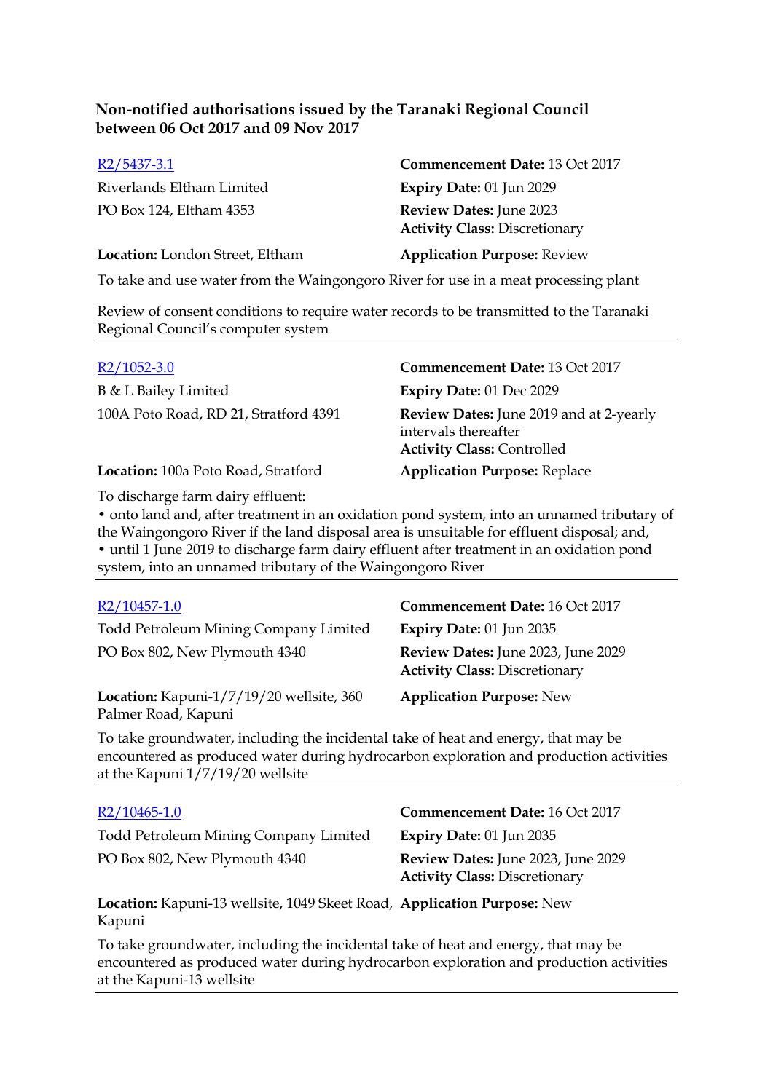| Commencement Date: 13 Oct 2017                                         |
|------------------------------------------------------------------------|
| Expiry Date: 01 Jun 2029                                               |
| <b>Review Dates:</b> June 2023<br><b>Activity Class: Discretionary</b> |
| <b>Application Purpose: Review</b>                                     |
|                                                                        |

To take and use water from the Waingongoro River for use in a meat processing plant

Review of consent conditions to require water records to be transmitted to the Taranaki Regional Council's computer system

| $R2/1052-3.0$                         | Commencement Date: 13 Oct 2017                                                                              |
|---------------------------------------|-------------------------------------------------------------------------------------------------------------|
| B & L Bailey Limited                  | Expiry Date: 01 Dec 2029                                                                                    |
| 100A Poto Road, RD 21, Stratford 4391 | <b>Review Dates:</b> June 2019 and at 2-yearly<br>intervals thereafter<br><b>Activity Class: Controlled</b> |
| Location: 100a Poto Road, Stratford   | <b>Application Purpose: Replace</b>                                                                         |

To discharge farm dairy effluent:

• onto land and, after treatment in an oxidation pond system, into an unnamed tributary of the Waingongoro River if the land disposal area is unsuitable for effluent disposal; and, • until 1 June 2019 to discharge farm dairy effluent after treatment in an oxidation pond system, into an unnamed tributary of the Waingongoro River

| R2/10457-1.0                                                                       | Commencement Date: 16 Oct 2017                                             |
|------------------------------------------------------------------------------------|----------------------------------------------------------------------------|
| Todd Petroleum Mining Company Limited                                              | Expiry Date: 01 Jun 2035                                                   |
| PO Box 802, New Plymouth 4340                                                      | Review Dates: June 2023, June 2029<br><b>Activity Class: Discretionary</b> |
| Location: Kapuni-1/7/19/20 wellsite, 360<br>Palmer Road, Kapuni                    | <b>Application Purpose: New</b>                                            |
| To take groundwater, including the incidental take of heat and energy, that may be |                                                                            |

encountered as produced water during hydrocarbon exploration and production activities at the Kapuni 1/7/19/20 wellsite

| $R2/10465-1.0$                                                                     | Commencement Date: 16 Oct 2017                                             |
|------------------------------------------------------------------------------------|----------------------------------------------------------------------------|
| Todd Petroleum Mining Company Limited                                              | Expiry Date: 01 Jun 2035                                                   |
| PO Box 802, New Plymouth 4340                                                      | Review Dates: June 2023, June 2029<br><b>Activity Class: Discretionary</b> |
| Location: Kapuni-13 wellsite, 1049 Skeet Road, Application Purpose: New<br>Kapuni  |                                                                            |
| To take groundwater, including the incidental take of heat and energy, that may be |                                                                            |

To take groundwater, including the incidental take of heat and energy, that may be encountered as produced water during hydrocarbon exploration and production activities at the Kapuni-13 wellsite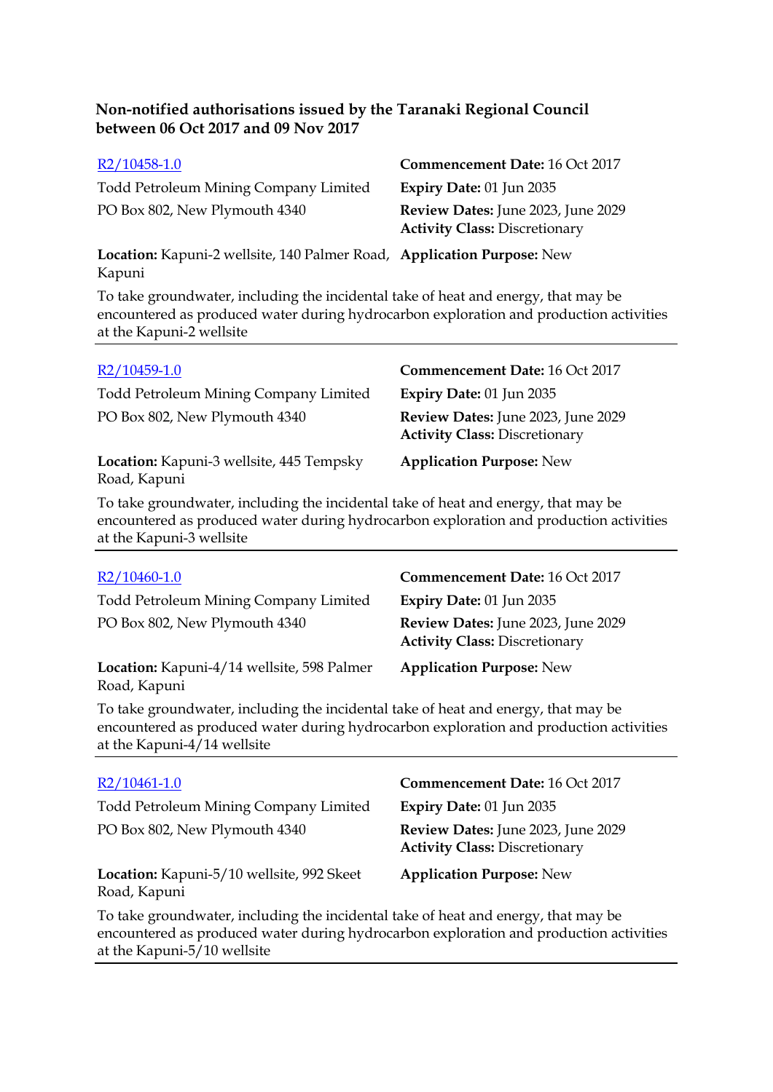| R2/10458-1.0                                                                     | Commencement Date: 16 Oct 2017                                             |
|----------------------------------------------------------------------------------|----------------------------------------------------------------------------|
| Todd Petroleum Mining Company Limited                                            | Expiry Date: $01$ Jun 2035                                                 |
| PO Box 802, New Plymouth 4340                                                    | Review Dates: June 2023, June 2029<br><b>Activity Class: Discretionary</b> |
| Location: Kapuni-2 wellsite, 140 Palmer Road, Application Purpose: New<br>Kapuni |                                                                            |

To take groundwater, including the incidental take of heat and energy, that may be encountered as produced water during hydrocarbon exploration and production activities at the Kapuni-2 wellsite

| R2/10459-1.0                                             | Commencement Date: 16 Oct 2017                                             |
|----------------------------------------------------------|----------------------------------------------------------------------------|
| <b>Todd Petroleum Mining Company Limited</b>             | <b>Expiry Date: 01 Jun 2035</b>                                            |
| PO Box 802, New Plymouth 4340                            | Review Dates: June 2023, June 2029<br><b>Activity Class: Discretionary</b> |
| Location: Kapuni-3 wellsite, 445 Tempsky<br>Road, Kapuni | <b>Application Purpose: New</b>                                            |

To take groundwater, including the incidental take of heat and energy, that may be encountered as produced water during hydrocarbon exploration and production activities at the Kapuni-3 wellsite

| $R2/10460-1.0$                                             | <b>Commencement Date: 16 Oct 2017</b>                                      |
|------------------------------------------------------------|----------------------------------------------------------------------------|
| <b>Todd Petroleum Mining Company Limited</b>               | Expiry Date: 01 Jun 2035                                                   |
| PO Box 802, New Plymouth 4340                              | Review Dates: June 2023, June 2029<br><b>Activity Class: Discretionary</b> |
| Location: Kapuni-4/14 wellsite, 598 Palmer<br>Road, Kapuni | <b>Application Purpose: New</b>                                            |

To take groundwater, including the incidental take of heat and energy, that may be encountered as produced water during hydrocarbon exploration and production activities at the Kapuni-4/14 wellsite

| $R2/10461-1.0$                                                                                                                                                               | Commencement Date: 16 Oct 2017                                             |
|------------------------------------------------------------------------------------------------------------------------------------------------------------------------------|----------------------------------------------------------------------------|
| Todd Petroleum Mining Company Limited                                                                                                                                        | Expiry Date: 01 Jun 2035                                                   |
| PO Box 802, New Plymouth 4340                                                                                                                                                | Review Dates: June 2023, June 2029<br><b>Activity Class: Discretionary</b> |
| Location: Kapuni-5/10 wellsite, 992 Skeet<br>Road, Kapuni                                                                                                                    | <b>Application Purpose: New</b>                                            |
| To take groundwater, including the incidental take of heat and energy, that may be<br>encountered as produced water during hydrocarbon exploration and production activities |                                                                            |

encountered as produced water during hydrocarbon exploration and production activities at the Kapuni-5/10 wellsite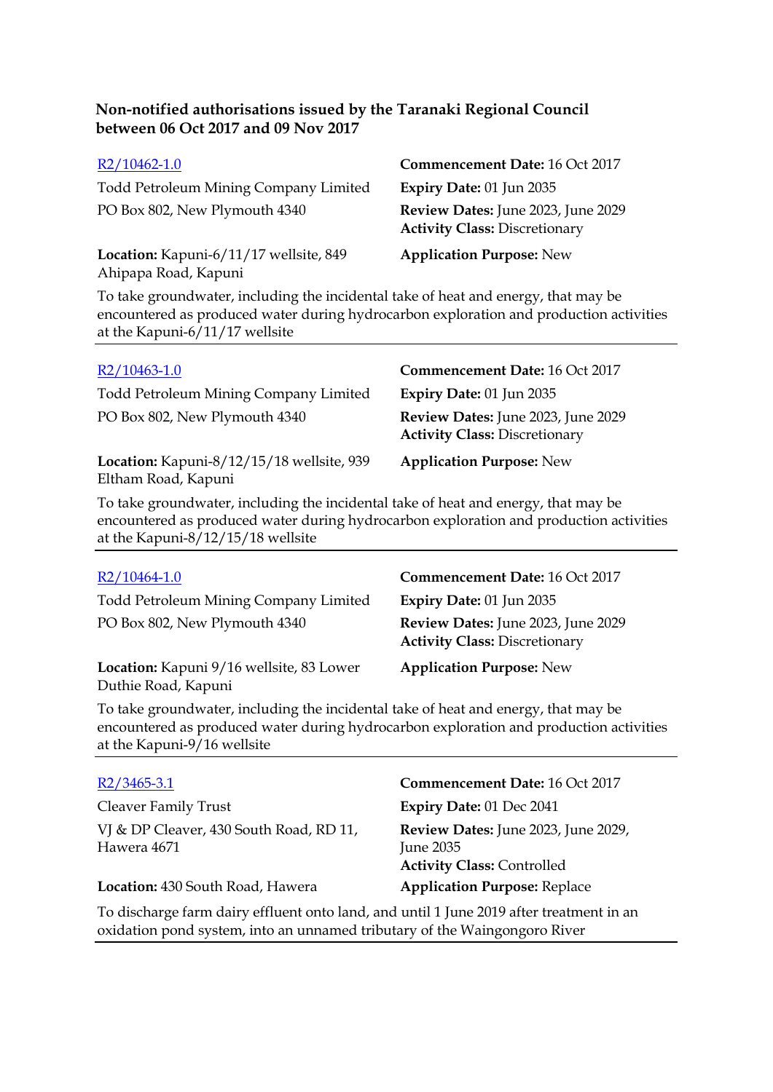| $R2/10462-1.0$                                                 | Commencement Date: 16 Oct 2017                                             |
|----------------------------------------------------------------|----------------------------------------------------------------------------|
| Todd Petroleum Mining Company Limited                          | Expiry Date: 01 Jun 2035                                                   |
| PO Box 802, New Plymouth 4340                                  | Review Dates: June 2023, June 2029<br><b>Activity Class: Discretionary</b> |
| Location: Kapuni-6/11/17 wellsite, 849<br>Ahipapa Road, Kapuni | <b>Application Purpose: New</b>                                            |

To take groundwater, including the incidental take of heat and energy, that may be encountered as produced water during hydrocarbon exploration and production activities at the Kapuni-6/11/17 wellsite

| $R2/10463-1.0$                                                   | Commencement Date: 16 Oct 2017                                             |
|------------------------------------------------------------------|----------------------------------------------------------------------------|
| Todd Petroleum Mining Company Limited                            | Expiry Date: $01$ Jun 2035                                                 |
| PO Box 802, New Plymouth 4340                                    | Review Dates: June 2023, June 2029<br><b>Activity Class: Discretionary</b> |
| Location: Kapuni-8/12/15/18 wellsite, 939<br>Eltham Road, Kapuni | <b>Application Purpose: New</b>                                            |

To take groundwater, including the incidental take of heat and energy, that may be encountered as produced water during hydrocarbon exploration and production activities at the Kapuni-8/12/15/18 wellsite

| R2/10464-1.0                                                    | <b>Commencement Date: 16 Oct 2017</b>                                      |
|-----------------------------------------------------------------|----------------------------------------------------------------------------|
| <b>Todd Petroleum Mining Company Limited</b>                    | <b>Expiry Date: 01 Jun 2035</b>                                            |
| PO Box 802, New Plymouth 4340                                   | Review Dates: June 2023, June 2029<br><b>Activity Class: Discretionary</b> |
| Location: Kapuni 9/16 wellsite, 83 Lower<br>Duthie Road, Kapuni | <b>Application Purpose: New</b>                                            |

To take groundwater, including the incidental take of heat and energy, that may be encountered as produced water during hydrocarbon exploration and production activities at the Kapuni-9/16 wellsite

| $R2/3465-3.1$                                                                           | Commencement Date: 16 Oct 2017                                                        |
|-----------------------------------------------------------------------------------------|---------------------------------------------------------------------------------------|
| <b>Cleaver Family Trust</b>                                                             | Expiry Date: 01 Dec 2041                                                              |
| VJ & DP Cleaver, 430 South Road, RD 11,<br>Hawera 4671                                  | Review Dates: June 2023, June 2029,<br>June 2035<br><b>Activity Class: Controlled</b> |
| Location: 430 South Road, Hawera                                                        | <b>Application Purpose: Replace</b>                                                   |
| To discharge farm dairy effluent onto land, and until 1 June 2019 after treatment in an |                                                                                       |

oxidation pond system, into an unnamed tributary of the Waingongoro River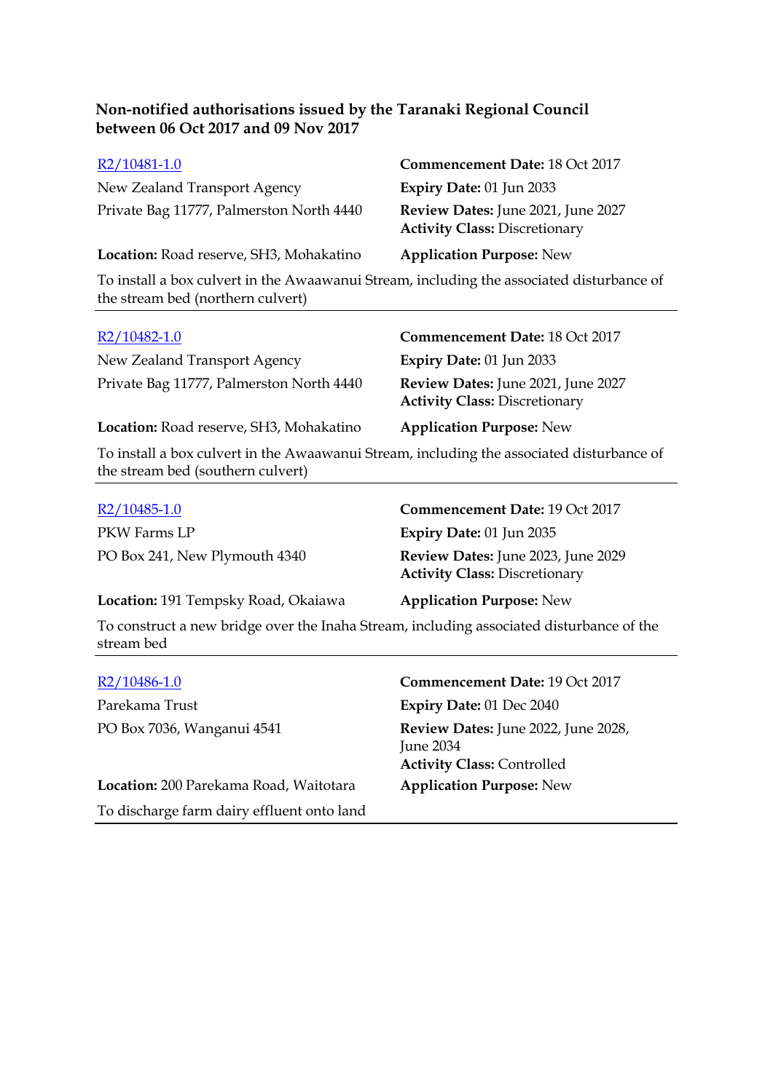| R2/10481-1.0                             | Commencement Date: 18 Oct 2017                                             |
|------------------------------------------|----------------------------------------------------------------------------|
| New Zealand Transport Agency             | <b>Expiry Date: 01 Jun 2033</b>                                            |
| Private Bag 11777, Palmerston North 4440 | Review Dates: June 2021, June 2027<br><b>Activity Class: Discretionary</b> |
| Location: Road reserve, SH3, Mohakatino  | <b>Application Purpose: New</b>                                            |
|                                          |                                                                            |

To install a box culvert in the Awaawanui Stream, including the associated disturbance of the stream bed (northern culvert)

New Zealand Transport Agency **Expiry Date:** 01 Jun 2033 Private Bag 11777, Palmerston North 4440 **Review Dates:** June 2021, June 2027

#### R2/10482-1.0 **Commencement Date:** 18 Oct 2017

**Activity Class:** Discretionary

**Location:** Road reserve, SH3, Mohakatino **Application Purpose:** New

To install a box culvert in the Awaawanui Stream, including the associated disturbance of the stream bed (southern culvert)

| $R2/10485 - 1.0$                                                                         | Commencement Date: 19 Oct 2017                                             |
|------------------------------------------------------------------------------------------|----------------------------------------------------------------------------|
| PKW Farms LP                                                                             | <b>Expiry Date: 01 Jun 2035</b>                                            |
| PO Box 241, New Plymouth 4340                                                            | Review Dates: June 2023, June 2029<br><b>Activity Class: Discretionary</b> |
| Location: 191 Tempsky Road, Okaiawa                                                      | <b>Application Purpose: New</b>                                            |
| To construct a new bridge over the Inaha Stream, including associated disturbance of the |                                                                            |

stream bed

| $R2/10486-1.0$                             | Commencement Date: 19 Oct 2017                                                               |
|--------------------------------------------|----------------------------------------------------------------------------------------------|
| Parekama Trust                             | Expiry Date: 01 Dec 2040                                                                     |
| PO Box 7036, Wanganui 4541                 | <b>Review Dates:</b> June 2022, June 2028,<br>June 2034<br><b>Activity Class: Controlled</b> |
| Location: 200 Parekama Road, Waitotara     | <b>Application Purpose: New</b>                                                              |
| To discharge farm dairy effluent onto land |                                                                                              |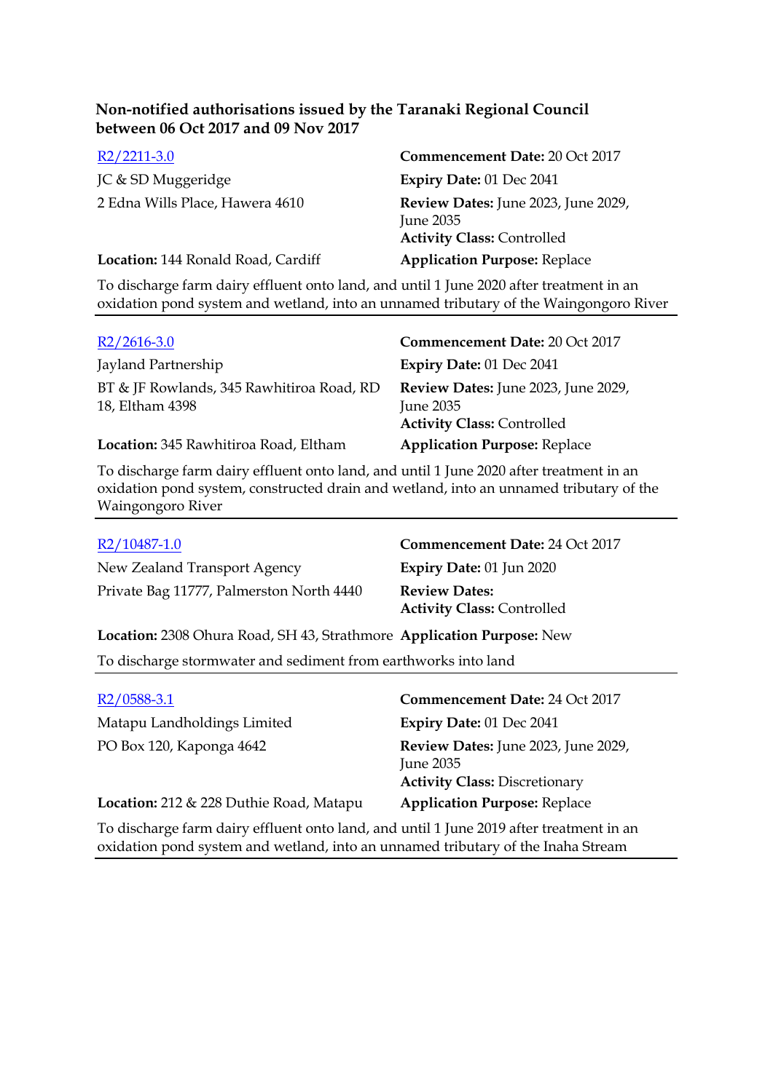| $R2/2211-3.0$                      | Commencement Date: 20 Oct 2017                                                        |
|------------------------------------|---------------------------------------------------------------------------------------|
| JC & SD Muggeridge                 | <b>Expiry Date: 01 Dec 2041</b>                                                       |
| 2 Edna Wills Place, Hawera 4610    | Review Dates: June 2023, June 2029,<br>June 2035<br><b>Activity Class: Controlled</b> |
| Location: 144 Ronald Road, Cardiff | <b>Application Purpose: Replace</b>                                                   |

To discharge farm dairy effluent onto land, and until 1 June 2020 after treatment in an oxidation pond system and wetland, into an unnamed tributary of the Waingongoro River

| $R2/2616-3.0$                                                | <b>Commencement Date: 20 Oct 2017</b>                                                 |
|--------------------------------------------------------------|---------------------------------------------------------------------------------------|
| Jayland Partnership                                          | <b>Expiry Date: 01 Dec 2041</b>                                                       |
| BT & JF Rowlands, 345 Rawhitiroa Road, RD<br>18, Eltham 4398 | Review Dates: June 2023, June 2029,<br>June 2035<br><b>Activity Class: Controlled</b> |
| Location: 345 Rawhitiroa Road, Eltham                        | <b>Application Purpose: Replace</b>                                                   |

To discharge farm dairy effluent onto land, and until 1 June 2020 after treatment in an oxidation pond system, constructed drain and wetland, into an unnamed tributary of the Waingongoro River

| R2/10487-1.0                                                          | Commencement Date: 24 Oct 2017                            |  |
|-----------------------------------------------------------------------|-----------------------------------------------------------|--|
| New Zealand Transport Agency                                          | Expiry Date: 01 Jun 2020                                  |  |
| Private Bag 11777, Palmerston North 4440                              | <b>Review Dates:</b><br><b>Activity Class: Controlled</b> |  |
| Location: 2308 Ohura Road, SH 43, Strathmore Application Purpose: New |                                                           |  |
| To discharge stormwater and sediment from earthworks into land        |                                                           |  |

| $R2/0588-3.1$                           | <b>Commencement Date: 24 Oct 2017</b>                                                    |
|-----------------------------------------|------------------------------------------------------------------------------------------|
| Matapu Landholdings Limited             | Expiry Date: 01 Dec 2041                                                                 |
| PO Box 120, Kaponga 4642                | Review Dates: June 2023, June 2029,<br>June 2035<br><b>Activity Class: Discretionary</b> |
| Location: 212 & 228 Duthie Road, Matapu | <b>Application Purpose: Replace</b>                                                      |

To discharge farm dairy effluent onto land, and until 1 June 2019 after treatment in an oxidation pond system and wetland, into an unnamed tributary of the Inaha Stream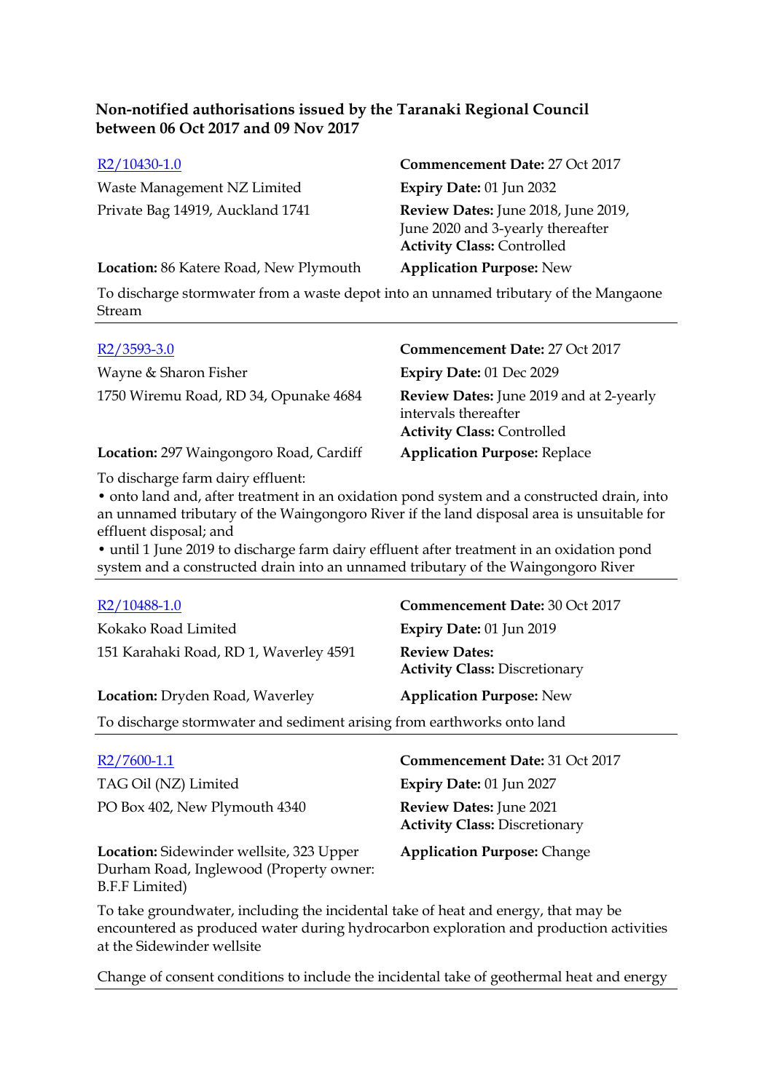| R2/10430-1.0                           | Commencement Date: 27 Oct 2017                                                                                |
|----------------------------------------|---------------------------------------------------------------------------------------------------------------|
| Waste Management NZ Limited            | Expiry Date: 01 Jun 2032                                                                                      |
| Private Bag 14919, Auckland 1741       | Review Dates: June 2018, June 2019,<br>June 2020 and 3-yearly thereafter<br><b>Activity Class: Controlled</b> |
| Location: 86 Katere Road, New Plymouth | <b>Application Purpose: New</b>                                                                               |

To discharge stormwater from a waste depot into an unnamed tributary of the Mangaone Stream

| $R2/3593-3.0$                           | Commencement Date: 27 Oct 2017                                                                       |
|-----------------------------------------|------------------------------------------------------------------------------------------------------|
| Wayne & Sharon Fisher                   | Expiry Date: 01 Dec 2029                                                                             |
| 1750 Wiremu Road, RD 34, Opunake 4684   | Review Dates: June 2019 and at 2-yearly<br>intervals thereafter<br><b>Activity Class: Controlled</b> |
| Location: 297 Waingongoro Road, Cardiff | <b>Application Purpose: Replace</b>                                                                  |

To discharge farm dairy effluent:

• onto land and, after treatment in an oxidation pond system and a constructed drain, into an unnamed tributary of the Waingongoro River if the land disposal area is unsuitable for effluent disposal; and

• until 1 June 2019 to discharge farm dairy effluent after treatment in an oxidation pond system and a constructed drain into an unnamed tributary of the Waingongoro River

| R2/10488-1.0                                                           | <b>Commencement Date: 30 Oct 2017</b>                             |  |
|------------------------------------------------------------------------|-------------------------------------------------------------------|--|
| Kokako Road Limited                                                    | Expiry Date: 01 Jun 2019                                          |  |
| 151 Karahaki Road, RD 1, Waverley 4591                                 | <b>Review Dates:</b><br><b>Activity Class: Discretionary</b>      |  |
| Location: Dryden Road, Waverley                                        | <b>Application Purpose: New</b>                                   |  |
| To discharge stormwater and sediment arising from earthworks onto land |                                                                   |  |
| $R2/7600-1.1$<br>TAG Oil (NZ) Limited                                  | Commencement Date: 31 Oct 2017<br><b>Expiry Date: 01 Jun 2027</b> |  |
| PO Box 402, New Plymouth 4340                                          | Review Dates: June 2021<br><b>Activity Class: Discretionary</b>   |  |

**Location:** Sidewinder wellsite, 323 Upper Durham Road, Inglewood (Property owner: B.F.F Limited)

**Application Purpose:** Change

To take groundwater, including the incidental take of heat and energy, that may be encountered as produced water during hydrocarbon exploration and production activities at the Sidewinder wellsite

Change of consent conditions to include the incidental take of geothermal heat and energy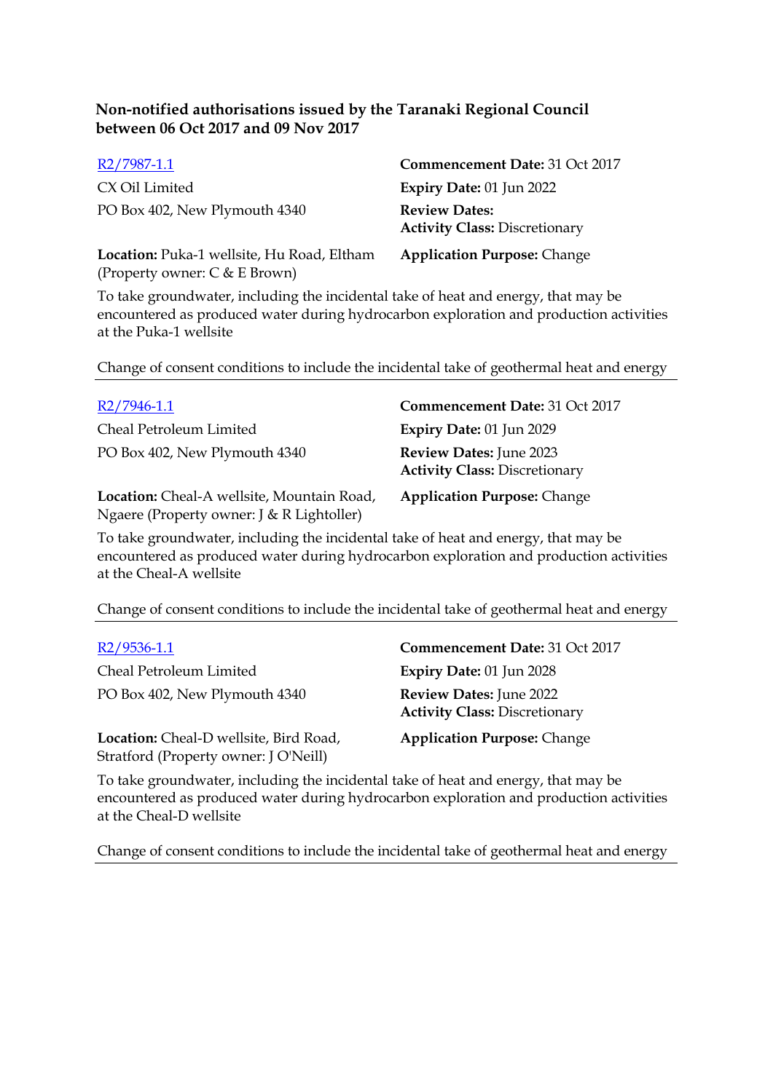| R2/7987-1.1                                                                 | Commencement Date: 31 Oct 2017                               |
|-----------------------------------------------------------------------------|--------------------------------------------------------------|
| CX Oil Limited                                                              | Expiry Date: $01$ Jun 2022                                   |
| PO Box 402, New Plymouth 4340                                               | <b>Review Dates:</b><br><b>Activity Class: Discretionary</b> |
| Location: Puka-1 wellsite, Hu Road, Eltham<br>(Property owner: C & E Brown) | <b>Application Purpose: Change</b>                           |

To take groundwater, including the incidental take of heat and energy, that may be encountered as produced water during hydrocarbon exploration and production activities at the Puka-1 wellsite

Change of consent conditions to include the incidental take of geothermal heat and energy

| $R2/7946-1.1$                            | Commencement Date: 31 Oct 2017                                         |
|------------------------------------------|------------------------------------------------------------------------|
| Cheal Petroleum Limited                  | Expiry Date: 01 Jun 2029                                               |
| PO Box 402, New Plymouth 4340            | <b>Review Dates:</b> June 2023<br><b>Activity Class: Discretionary</b> |
| Location: Cheal-A wellsite Mountain Road | Application Purpose: Change                                            |

**Location:** Cheal-A wellsite, Mountain Road, Ngaere (Property owner: J & R Lightoller)

**Application Purpose:** Change

To take groundwater, including the incidental take of heat and energy, that may be encountered as produced water during hydrocarbon exploration and production activities at the Cheal-A wellsite

Change of consent conditions to include the incidental take of geothermal heat and energy

Cheal Petroleum Limited **Expiry Date:** 01 Jun 2028 PO Box 402, New Plymouth 4340 **Review Dates:** June 2022

**Location:** Cheal-D wellsite, Bird Road, Stratford (Property owner: J O'Neill)

R2/9536-1.1 **Commencement Date:** 31 Oct 2017 **Activity Class:** Discretionary

**Application Purpose:** Change

To take groundwater, including the incidental take of heat and energy, that may be encountered as produced water during hydrocarbon exploration and production activities at the Cheal-D wellsite

Change of consent conditions to include the incidental take of geothermal heat and energy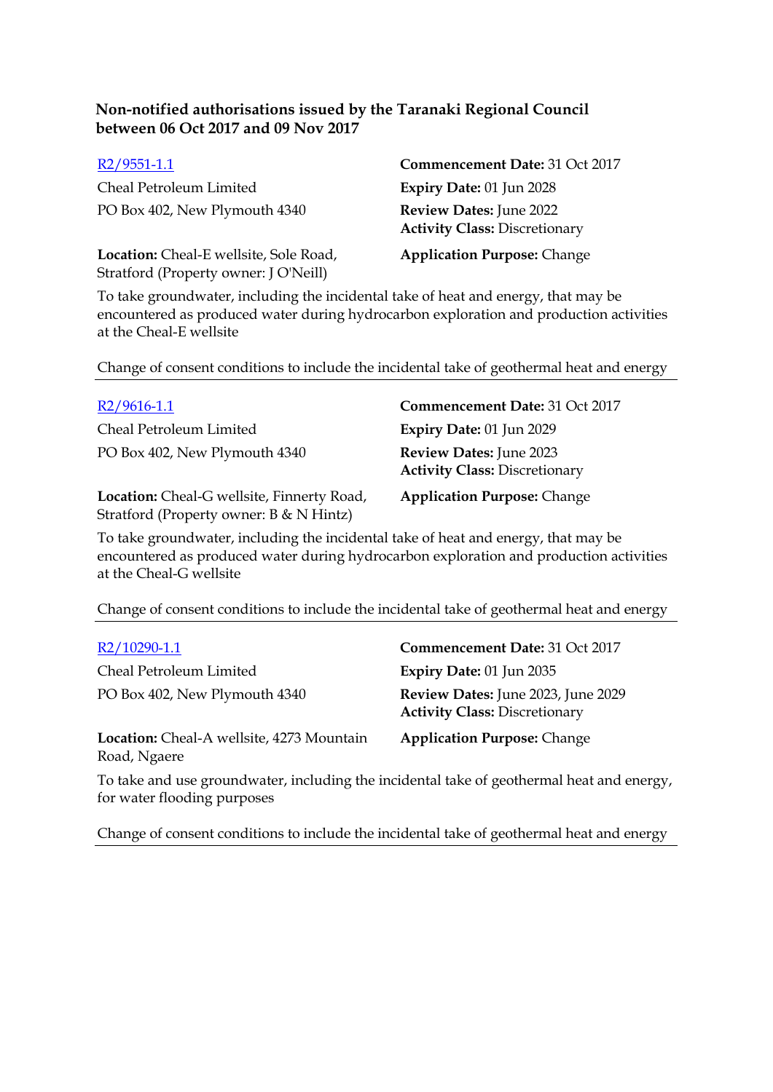| $R2/9551-1.1$                                                                   | Commencement Date: 31 Oct 2017                                         |
|---------------------------------------------------------------------------------|------------------------------------------------------------------------|
| Cheal Petroleum Limited                                                         | <b>Expiry Date: 01 Jun 2028</b>                                        |
| PO Box 402, New Plymouth 4340                                                   | <b>Review Dates:</b> June 2022<br><b>Activity Class: Discretionary</b> |
| Location: Cheal-E wellsite, Sole Road,<br>Stratford (Property owner: J O'Neill) | <b>Application Purpose: Change</b>                                     |

To take groundwater, including the incidental take of heat and energy, that may be encountered as produced water during hydrocarbon exploration and production activities at the Cheal-E wellsite

Change of consent conditions to include the incidental take of geothermal heat and energy

| $R2/9616-1.1$                 | Commencement Date: 31 Oct 2017                                         |
|-------------------------------|------------------------------------------------------------------------|
| Cheal Petroleum Limited       | Expiry Date: 01 Jun 2029                                               |
| PO Box 402, New Plymouth 4340 | <b>Review Dates:</b> June 2023<br><b>Activity Class: Discretionary</b> |
|                               |                                                                        |

**Location:** Cheal-G wellsite, Finnerty Road, Stratford (Property owner: B & N Hintz)

**Application Purpose:** Change

To take groundwater, including the incidental take of heat and energy, that may be encountered as produced water during hydrocarbon exploration and production activities at the Cheal-G wellsite

Change of consent conditions to include the incidental take of geothermal heat and energy

Cheal Petroleum Limited **Expiry Date:** 01 Jun 2035

**Location:** Cheal-A wellsite, 4273 Mountain Road, Ngaere

R2/10290-1.1 **Commencement Date:** 31 Oct 2017 PO Box 402, New Plymouth 4340 **Review Dates:** June 2023, June 2029 **Activity Class:** Discretionary

**Application Purpose:** Change

To take and use groundwater, including the incidental take of geothermal heat and energy, for water flooding purposes

Change of consent conditions to include the incidental take of geothermal heat and energy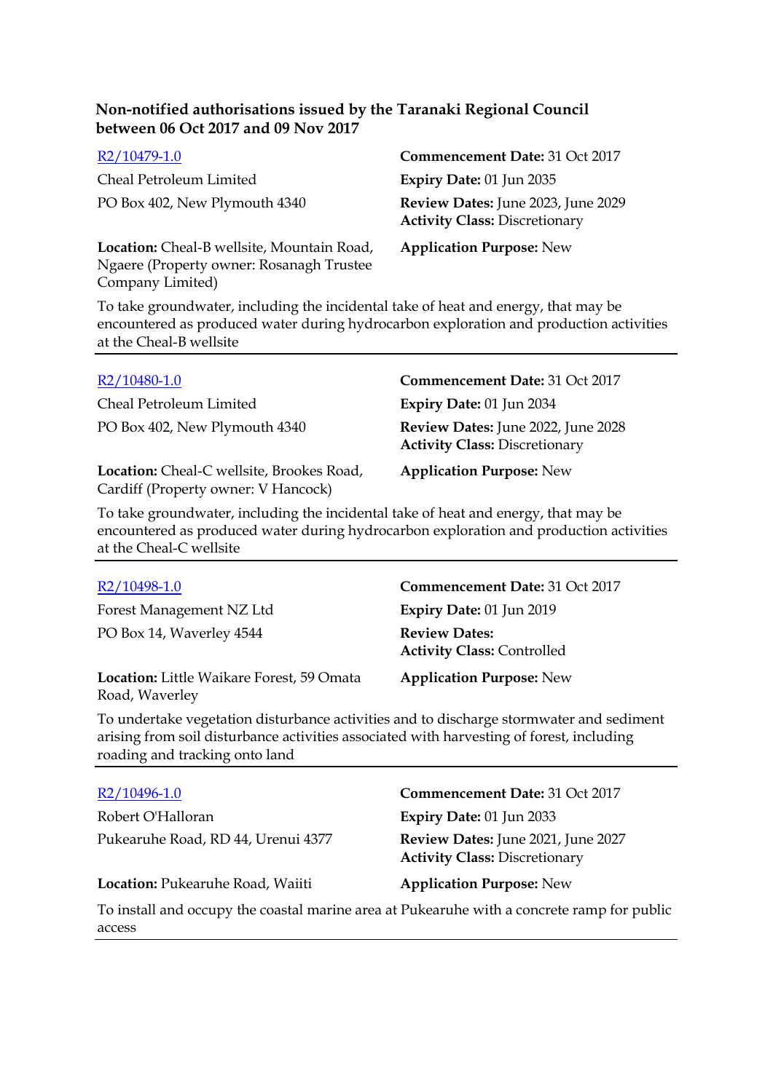| R2/10479-1.0                                                                                               | Commencement Date: 31 Oct 2017                                             |
|------------------------------------------------------------------------------------------------------------|----------------------------------------------------------------------------|
| Cheal Petroleum Limited                                                                                    | <b>Expiry Date: 01 Jun 2035</b>                                            |
| PO Box 402, New Plymouth 4340                                                                              | Review Dates: June 2023, June 2029<br><b>Activity Class: Discretionary</b> |
| Location: Cheal-B wellsite, Mountain Road,<br>Ngaere (Property owner: Rosanagh Trustee<br>Company Limited) | <b>Application Purpose: New</b>                                            |

To take groundwater, including the incidental take of heat and energy, that may be encountered as produced water during hydrocarbon exploration and production activities at the Cheal-B wellsite

| R2/10480-1.0                                                                     | Commencement Date: 31 Oct 2017                                             |
|----------------------------------------------------------------------------------|----------------------------------------------------------------------------|
| Cheal Petroleum Limited                                                          | <b>Expiry Date: 01 Jun 2034</b>                                            |
| PO Box 402, New Plymouth 4340                                                    | Review Dates: June 2022, June 2028<br><b>Activity Class: Discretionary</b> |
| Location: Cheal-C wellsite, Brookes Road,<br>Cardiff (Property owner: V Hancock) | <b>Application Purpose: New</b>                                            |

To take groundwater, including the incidental take of heat and energy, that may be encountered as produced water during hydrocarbon exploration and production activities at the Cheal-C wellsite

Forest Management NZ Ltd **Expiry Date:** 01 Jun 2019 PO Box 14, Waverley 4544 **Review Dates:**

**Location:** Little Waikare Forest, 59 Omata Road, Waverley

R2/10498-1.0 **Commencement Date:** 31 Oct 2017 **Activity Class:** Controlled

**Application Purpose:** New

To undertake vegetation disturbance activities and to discharge stormwater and sediment arising from soil disturbance activities associated with harvesting of forest, including roading and tracking onto land

| R2/10496-1.0                                                                                         | Commencement Date: 31 Oct 2017                                             |
|------------------------------------------------------------------------------------------------------|----------------------------------------------------------------------------|
| Robert O'Halloran                                                                                    | Expiry Date: 01 Jun 2033                                                   |
| Pukearuhe Road, RD 44, Urenui 4377                                                                   | Review Dates: June 2021, June 2027<br><b>Activity Class: Discretionary</b> |
| Location: Pukearuhe Road, Waiiti                                                                     | <b>Application Purpose: New</b>                                            |
| To install and occupy the coastal marine area at Pukearuhe with a concrete ramp for public<br>access |                                                                            |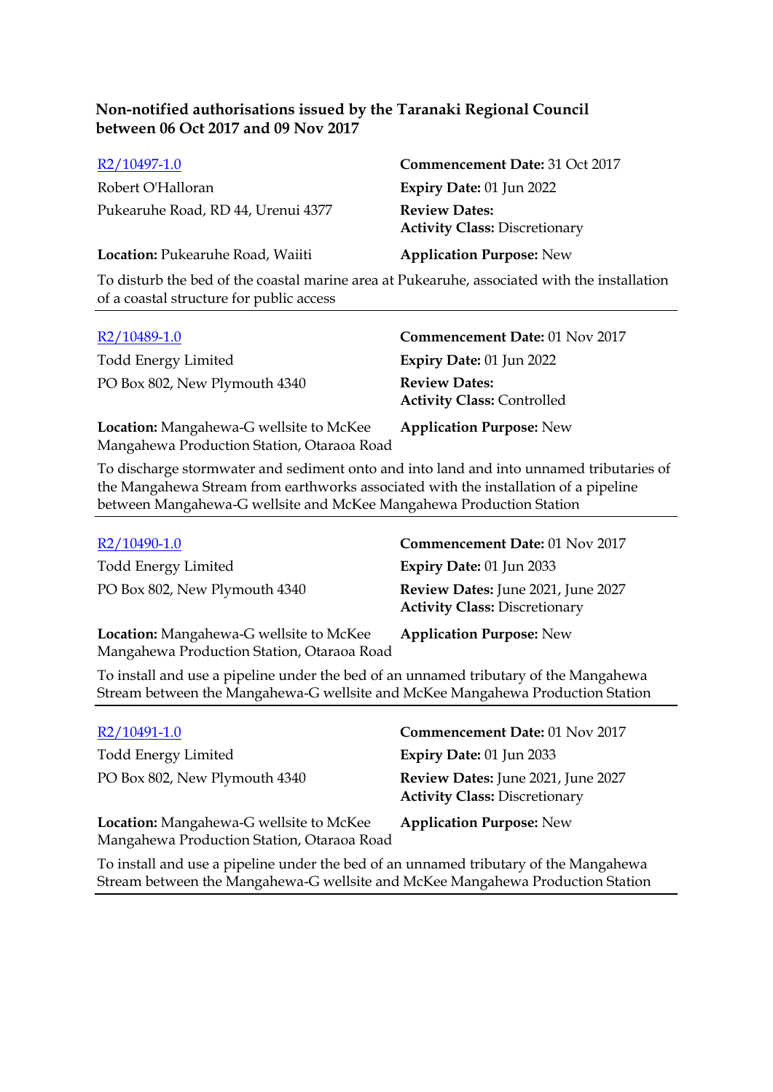| R2/10497-1.0                       | Commencement Date: 31 Oct 2017                               |
|------------------------------------|--------------------------------------------------------------|
| Robert O'Halloran                  | Expiry Date: $01$ Jun 2022                                   |
| Pukearuhe Road, RD 44, Urenui 4377 | <b>Review Dates:</b><br><b>Activity Class: Discretionary</b> |
| Location: Pukearuhe Road, Waiiti   | <b>Application Purpose: New</b>                              |

To disturb the bed of the coastal marine area at Pukearuhe, associated with the installation of a coastal structure for public access

| R2/10489-1.0                                                                          | Commencement Date: 01 Nov 2017                            |
|---------------------------------------------------------------------------------------|-----------------------------------------------------------|
| <b>Todd Energy Limited</b>                                                            | Expiry Date: 01 Jun 2022                                  |
| PO Box 802, New Plymouth 4340                                                         | <b>Review Dates:</b><br><b>Activity Class: Controlled</b> |
| Location: Mangahewa-G wellsite to McKee<br>Mangahewa Production Station, Otaraoa Road | <b>Application Purpose: New</b>                           |

To discharge stormwater and sediment onto and into land and into unnamed tributaries of the Mangahewa Stream from earthworks associated with the installation of a pipeline between Mangahewa-G wellsite and McKee Mangahewa Production Station

| $R2/10490-1.0$                                                                        | Commencement Date: 01 Nov 2017                                             |
|---------------------------------------------------------------------------------------|----------------------------------------------------------------------------|
| <b>Todd Energy Limited</b>                                                            | Expiry Date: $01$ Jun 2033                                                 |
| PO Box 802, New Plymouth 4340                                                         | Review Dates: June 2021, June 2027<br><b>Activity Class: Discretionary</b> |
| Location: Mangahewa-G wellsite to McKee<br>Mangahewa Production Station, Otaraoa Road | <b>Application Purpose: New</b>                                            |

To install and use a pipeline under the bed of an unnamed tributary of the Mangahewa Stream between the Mangahewa-G wellsite and McKee Mangahewa Production Station

| R2/10491-1.0                                                                          | Commencement Date: 01 Nov 2017                                             |
|---------------------------------------------------------------------------------------|----------------------------------------------------------------------------|
| <b>Todd Energy Limited</b>                                                            | <b>Expiry Date: 01 Jun 2033</b>                                            |
| PO Box 802, New Plymouth 4340                                                         | Review Dates: June 2021, June 2027<br><b>Activity Class: Discretionary</b> |
| Location: Mangahewa-G wellsite to McKee<br>Mangahewa Production Station, Otaraoa Road | <b>Application Purpose: New</b>                                            |

To install and use a pipeline under the bed of an unnamed tributary of the Mangahewa Stream between the Mangahewa-G wellsite and McKee Mangahewa Production Station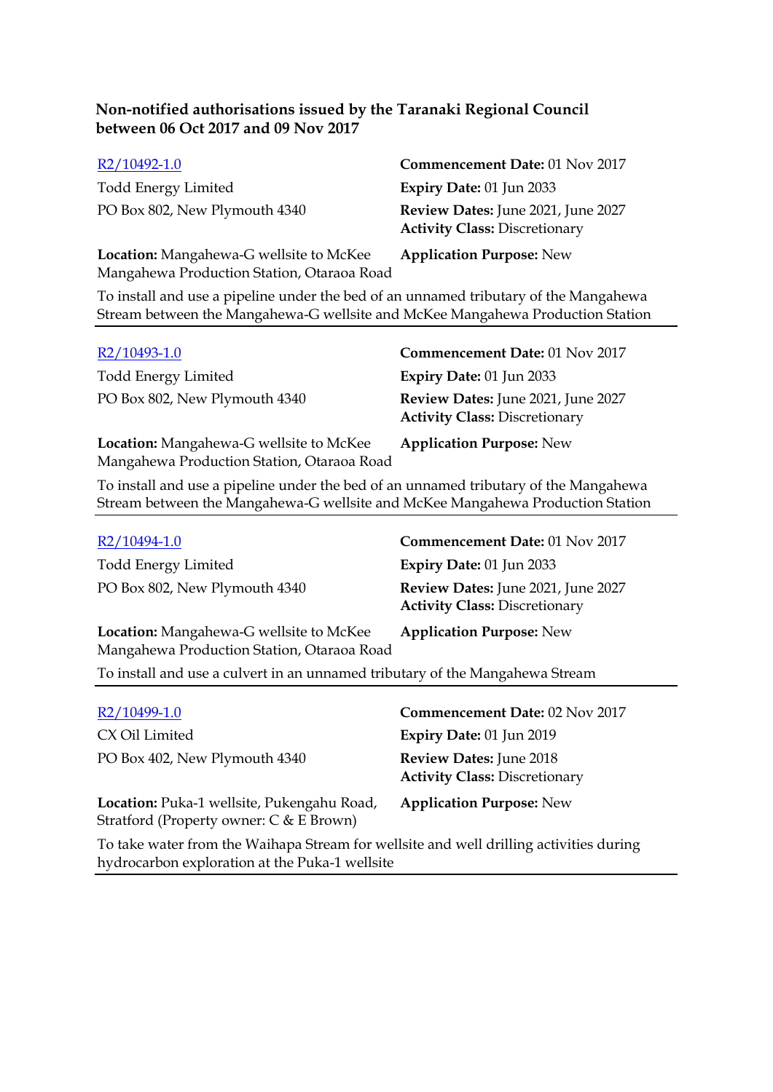| R2/10492-1.0                                                                          | Commencement Date: 01 Nov 2017                                             |
|---------------------------------------------------------------------------------------|----------------------------------------------------------------------------|
| <b>Todd Energy Limited</b>                                                            | <b>Expiry Date: 01 Jun 2033</b>                                            |
| PO Box 802, New Plymouth 4340                                                         | Review Dates: June 2021, June 2027<br><b>Activity Class: Discretionary</b> |
| Location: Mangahewa-G wellsite to McKee<br>Mangahewa Production Station, Otaraoa Road | <b>Application Purpose: New</b>                                            |

To install and use a pipeline under the bed of an unnamed tributary of the Mangahewa Stream between the Mangahewa-G wellsite and McKee Mangahewa Production Station

| $R2/10493-1.0$                                                                        | Commencement Date: 01 Nov 2017                                             |
|---------------------------------------------------------------------------------------|----------------------------------------------------------------------------|
| <b>Todd Energy Limited</b>                                                            | <b>Expiry Date: 01 Jun 2033</b>                                            |
| PO Box 802, New Plymouth 4340                                                         | Review Dates: June 2021, June 2027<br><b>Activity Class: Discretionary</b> |
| Location: Mangahewa-G wellsite to McKee<br>Mangahewa Production Station, Otaraoa Road | <b>Application Purpose: New</b>                                            |

To install and use a pipeline under the bed of an unnamed tributary of the Mangahewa Stream between the Mangahewa-G wellsite and McKee Mangahewa Production Station

| R2/10494-1.0                                                                                 | Commencement Date: 01 Nov 2017                                             |
|----------------------------------------------------------------------------------------------|----------------------------------------------------------------------------|
| <b>Todd Energy Limited</b>                                                                   | Expiry Date: $01$ Jun 2033                                                 |
| PO Box 802, New Plymouth 4340                                                                | Review Dates: June 2021, June 2027<br><b>Activity Class: Discretionary</b> |
| <b>Location:</b> Mangahewa-G wellsite to McKee<br>Mangahewa Production Station, Otaraoa Road | <b>Application Purpose: New</b>                                            |

To install and use a culvert in an unnamed tributary of the Mangahewa Stream

| R2/10499-1.0                                                                            | Commencement Date: 02 Nov 2017                                  |
|-----------------------------------------------------------------------------------------|-----------------------------------------------------------------|
| CX Oil Limited                                                                          | <b>Expiry Date: 01 Jun 2019</b>                                 |
| PO Box 402, New Plymouth 4340                                                           | Review Dates: June 2018<br><b>Activity Class: Discretionary</b> |
| Location: Puka-1 wellsite, Pukengahu Road,<br>Stratford (Property owner: $C & E$ Brown) | <b>Application Purpose: New</b>                                 |
| To take water from the Waihapa Stream for wellsite and well drilling activities during  |                                                                 |

Isite and well drilling activities during hydrocarbon exploration at the Puka-1 wellsite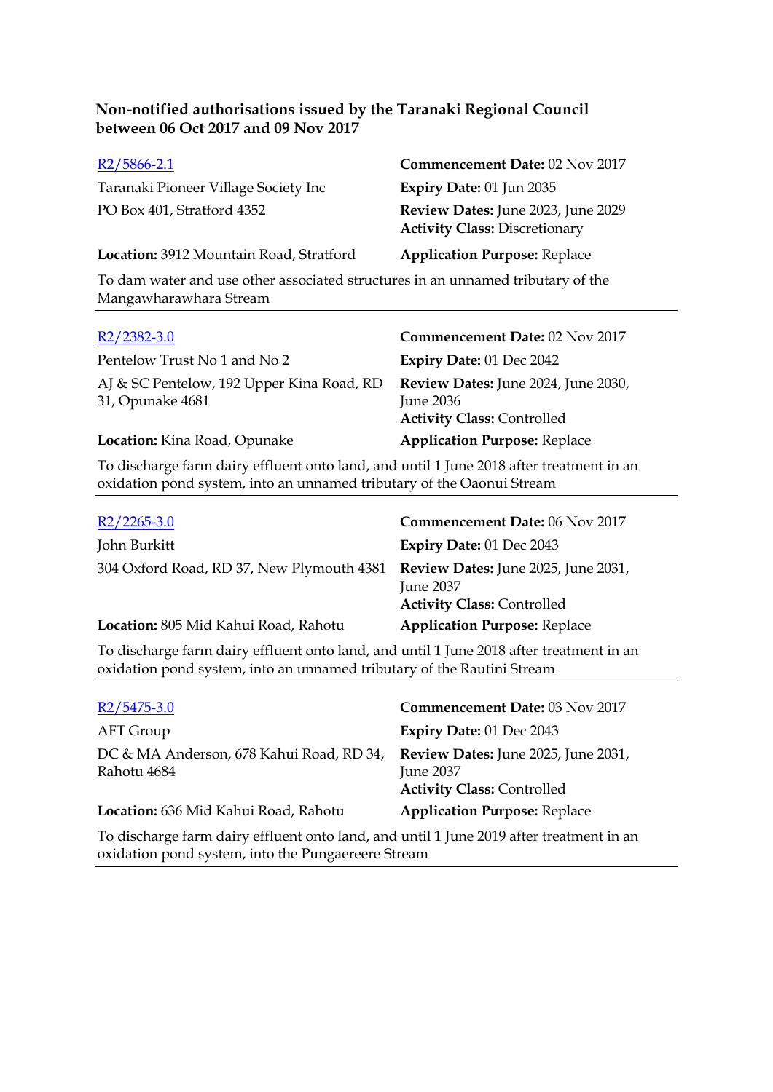| $R2/5866-2.1$                           | Commencement Date: 02 Nov 2017                                             |
|-----------------------------------------|----------------------------------------------------------------------------|
| Taranaki Pioneer Village Society Inc    | Expiry Date: $01$ Jun 2035                                                 |
| PO Box 401, Stratford 4352              | Review Dates: June 2023, June 2029<br><b>Activity Class: Discretionary</b> |
| Location: 3912 Mountain Road, Stratford | <b>Application Purpose: Replace</b>                                        |

To dam water and use other associated structures in an unnamed tributary of the Mangawharawhara Stream

| $R2/2382-3.0$                                                                           | Commencement Date: 02 Nov 2017                                                        |
|-----------------------------------------------------------------------------------------|---------------------------------------------------------------------------------------|
| Pentelow Trust No 1 and No 2                                                            | Expiry Date: 01 Dec 2042                                                              |
| AJ & SC Pentelow, 192 Upper Kina Road, RD<br>31, Opunake 4681                           | Review Dates: June 2024, June 2030,<br>June 2036<br><b>Activity Class: Controlled</b> |
| Location: Kina Road, Opunake                                                            | <b>Application Purpose: Replace</b>                                                   |
| To discharge farm dairy effluent onto land, and until 1 June 2018 after treatment in an |                                                                                       |

To discharge farm dairy effluent onto land, and until 1 June 2018 after treatment in an oxidation pond system, into an unnamed tributary of the Oaonui Stream

| $R2/2265-3.0$                                                                 | Commencement Date: 06 Nov 2017                        |
|-------------------------------------------------------------------------------|-------------------------------------------------------|
| John Burkitt                                                                  | Expiry Date: 01 Dec 2043                              |
| 304 Oxford Road, RD 37, New Plymouth 4381 Review Dates: June 2025, June 2031, | <b>June 2037</b><br><b>Activity Class: Controlled</b> |
| Location: 805 Mid Kahui Road, Rahotu                                          | <b>Application Purpose: Replace</b>                   |
|                                                                               |                                                       |

To discharge farm dairy effluent onto land, and until 1 June 2018 after treatment in an oxidation pond system, into an unnamed tributary of the Rautini Stream

| $R2/5475-3.0$                                                                           | Commencement Date: 03 Nov 2017                                                                      |
|-----------------------------------------------------------------------------------------|-----------------------------------------------------------------------------------------------------|
| AFT Group                                                                               | Expiry Date: 01 Dec 2043                                                                            |
| DC & MA Anderson, 678 Kahui Road, RD 34,<br>Rahotu 4684                                 | <b>Review Dates:</b> June 2025, June 2031,<br><b>June 2037</b><br><b>Activity Class: Controlled</b> |
| Location: 636 Mid Kahui Road, Rahotu                                                    | <b>Application Purpose: Replace</b>                                                                 |
| To discharge farm dairy effluent onto land, and until 1 June 2019 after treatment in an |                                                                                                     |

oxidation pond system, into the Pungaereere Stream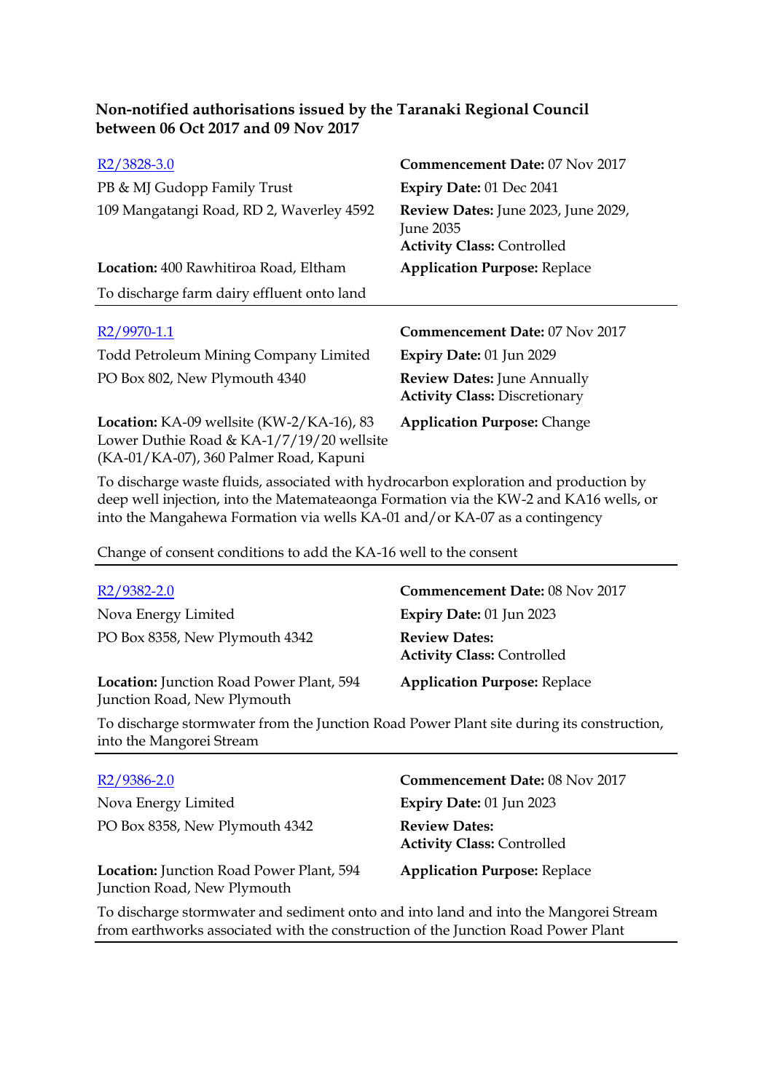| Non-notified authorisations issued by the Taranaki Regional Council |
|---------------------------------------------------------------------|
| between 06 Oct 2017 and 09 Nov 2017                                 |

| R <sub>2</sub> /3828-3.0                   | Commencement Date: 07 Nov 2017                                                        |
|--------------------------------------------|---------------------------------------------------------------------------------------|
| PB & MJ Gudopp Family Trust                | Expiry Date: 01 Dec 2041                                                              |
| 109 Mangatangi Road, RD 2, Waverley 4592   | Review Dates: June 2023, June 2029,<br>June 2035<br><b>Activity Class: Controlled</b> |
| Location: 400 Rawhitiroa Road, Eltham      | <b>Application Purpose: Replace</b>                                                   |
| To discharge farm dairy effluent onto land |                                                                                       |
|                                            |                                                                                       |
| R <sub>2</sub> /9970-1.1                   | <b>Commencement Date: 07 Nov 2017</b>                                                 |
|                                            |                                                                                       |
| Todd Petroleum Mining Company Limited      | Expiry Date: 01 Jun 2029                                                              |
| PO Box 802, New Plymouth 4340              | <b>Review Dates: June Annually</b><br><b>Activity Class: Discretionary</b>            |

To discharge waste fluids, associated with hydrocarbon exploration and production by deep well injection, into the Matemateaonga Formation via the KW-2 and KA16 wells, or into the Mangahewa Formation via wells KA-01 and/or KA-07 as a contingency

Change of consent conditions to add the KA-16 well to the consent

| R <sub>2</sub> /9382-2.0                                                | <b>Commencement Date: 08 Nov 2017</b>                     |
|-------------------------------------------------------------------------|-----------------------------------------------------------|
| Nova Energy Limited                                                     | Expiry Date: $01$ Jun 2023                                |
| PO Box 8358, New Plymouth 4342                                          | <b>Review Dates:</b><br><b>Activity Class: Controlled</b> |
| Location: Junction Road Power Plant, 594<br>Junction Road, New Plymouth | <b>Application Purpose: Replace</b>                       |

To discharge stormwater from the Junction Road Power Plant site during its construction, into the Mangorei Stream

| R2/9386-2.0                                                             | Commencement Date: 08 Nov 2017                            |
|-------------------------------------------------------------------------|-----------------------------------------------------------|
| Nova Energy Limited                                                     | Expiry Date: $01$ Jun 2023                                |
| PO Box 8358, New Plymouth 4342                                          | <b>Review Dates:</b><br><b>Activity Class: Controlled</b> |
| Location: Junction Road Power Plant, 594<br>Junction Road, New Plymouth | <b>Application Purpose: Replace</b>                       |

To discharge stormwater and sediment onto and into land and into the Mangorei Stream from earthworks associated with the construction of the Junction Road Power Plant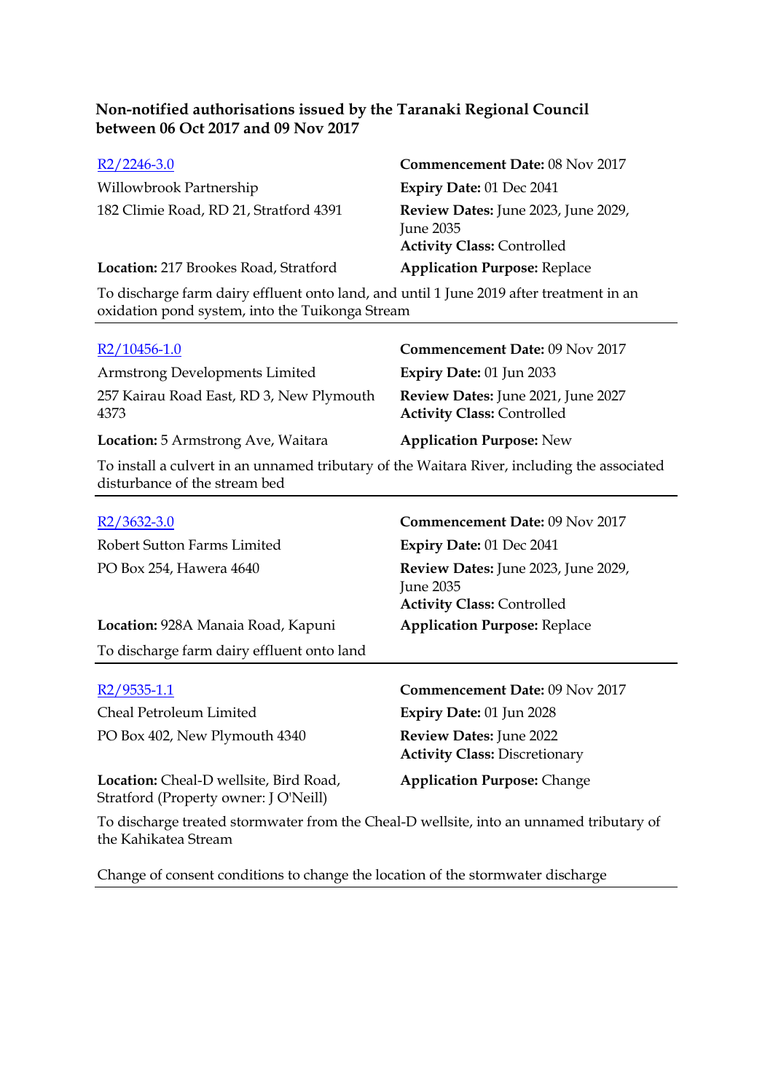| $R2/2246-3.0$                                                                           | Commencement Date: 08 Nov 2017                                                        |  |
|-----------------------------------------------------------------------------------------|---------------------------------------------------------------------------------------|--|
| Willowbrook Partnership                                                                 | Expiry Date: 01 Dec 2041                                                              |  |
| 182 Climie Road, RD 21, Stratford 4391                                                  | Review Dates: June 2023, June 2029,<br>June 2035<br><b>Activity Class: Controlled</b> |  |
| Location: 217 Brookes Road, Stratford                                                   | <b>Application Purpose: Replace</b>                                                   |  |
| To discharge farm dairy effluent onto land, and until 1 June 2019 after treatment in an |                                                                                       |  |

oxidation pond system, into the Tuikonga Stream

| $R2/10456-1.0$                                   | Commencement Date: 09 Nov 2017                                          |
|--------------------------------------------------|-------------------------------------------------------------------------|
| Armstrong Developments Limited                   | Expiry Date: $01$ Jun 2033                                              |
| 257 Kairau Road East, RD 3, New Plymouth<br>4373 | Review Dates: June 2021, June 2027<br><b>Activity Class: Controlled</b> |
| <b>Location:</b> 5 Armstrong Ave, Waitara        | <b>Application Purpose: New</b>                                         |
|                                                  |                                                                         |

To install a culvert in an unnamed tributary of the Waitara River, including the associated disturbance of the stream bed

| $R2/3632-3.0$                                                                   | <b>Commencement Date: 09 Nov 2017</b>                                                 |
|---------------------------------------------------------------------------------|---------------------------------------------------------------------------------------|
| Robert Sutton Farms Limited                                                     | Expiry Date: 01 Dec 2041                                                              |
| PO Box 254, Hawera 4640                                                         | Review Dates: June 2023, June 2029,<br>June 2035<br><b>Activity Class: Controlled</b> |
| Location: 928A Manaia Road, Kapuni                                              | <b>Application Purpose: Replace</b>                                                   |
| To discharge farm dairy effluent onto land                                      |                                                                                       |
|                                                                                 |                                                                                       |
|                                                                                 |                                                                                       |
| R2/9535-1.1                                                                     | <b>Commencement Date: 09 Nov 2017</b>                                                 |
| Cheal Petroleum Limited                                                         | <b>Expiry Date: 01 Jun 2028</b>                                                       |
| PO Box 402, New Plymouth 4340                                                   | <b>Review Dates: June 2022</b><br><b>Activity Class: Discretionary</b>                |
| Location: Cheal-D wellsite, Bird Road,<br>Stratford (Property owner: J O'Neill) | <b>Application Purpose: Change</b>                                                    |

To discharge treated stormwater from the Cheal-D wellsite, into an unnamed tributary of the Kahikatea Stream

Change of consent conditions to change the location of the stormwater discharge